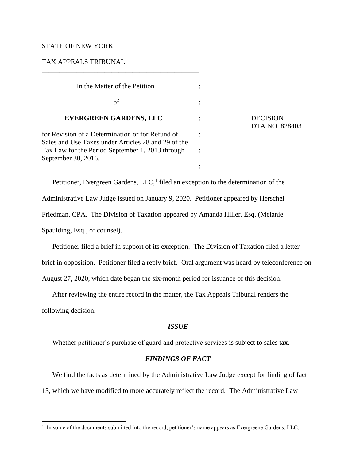# STATE OF NEW YORK

September 30, 2016.

# TAX APPEALS TRIBUNAL

 In the Matter of the Petition :  $\mathbf{f}$  :  $\mathbf{f}$  :  $\mathbf{f}$  :  $\mathbf{f}$  :  $\mathbf{f}$  :  $\mathbf{f}$  :  $\mathbf{f}$  :  $\mathbf{f}$  :  $\mathbf{f}$  :  $\mathbf{f}$  :  $\mathbf{f}$  :  $\mathbf{f}$  :  $\mathbf{f}$  :  $\mathbf{f}$  :  $\mathbf{f}$  :  $\mathbf{f}$  :  $\mathbf{f}$  :  $\mathbf{f}$  :  $\mathbf{f}$  :  $\mathbf{f}$  :  **EVERGREEN GARDENS, LLC** : DECISION for Revision of a Determination or for Refund of : Sales and Use Taxes under Articles 28 and 29 of the Tax Law for the Period September 1, 2013 through :

\_\_\_\_\_\_\_\_\_\_\_\_\_\_\_\_\_\_\_\_\_\_\_\_\_\_\_\_\_\_\_\_\_\_\_\_\_\_\_\_\_\_\_\_\_:

\_\_\_\_\_\_\_\_\_\_\_\_\_\_\_\_\_\_\_\_\_\_\_\_\_\_\_\_\_\_\_\_\_\_\_\_\_\_\_\_\_\_\_\_\_

DTA NO. 828403

Petitioner, Evergreen Gardens,  $LLC<sup>1</sup>$  filed an exception to the determination of the Administrative Law Judge issued on January 9, 2020. Petitioner appeared by Herschel Friedman, CPA. The Division of Taxation appeared by Amanda Hiller, Esq. (Melanie Spaulding, Esq., of counsel).

Petitioner filed a brief in support of its exception. The Division of Taxation filed a letter

brief in opposition. Petitioner filed a reply brief. Oral argument was heard by teleconference on

August 27, 2020, which date began the six-month period for issuance of this decision.

After reviewing the entire record in the matter, the Tax Appeals Tribunal renders the

following decision.

## *ISSUE*

Whether petitioner's purchase of guard and protective services is subject to sales tax.

# *FINDINGS OF FACT*

We find the facts as determined by the Administrative Law Judge except for finding of fact 13, which we have modified to more accurately reflect the record. The Administrative Law

<sup>&</sup>lt;sup>1</sup> In some of the documents submitted into the record, petitioner's name appears as Evergreene Gardens, LLC.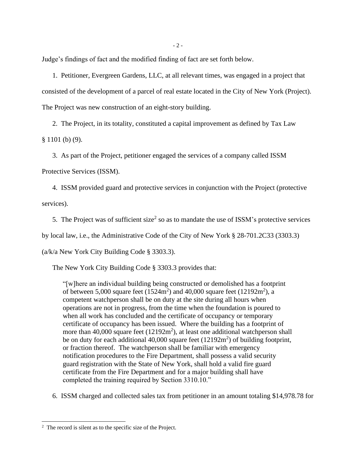- 2 -

Judge's findings of fact and the modified finding of fact are set forth below.

1. Petitioner, Evergreen Gardens, LLC, at all relevant times, was engaged in a project that consisted of the development of a parcel of real estate located in the City of New York (Project). The Project was new construction of an eight-story building.

2. The Project, in its totality, constituted a capital improvement as defined by Tax Law § 1101 (b) (9).

3. As part of the Project, petitioner engaged the services of a company called ISSM

Protective Services (ISSM).

4. ISSM provided guard and protective services in conjunction with the Project (protective services).

5. The Project was of sufficient size<sup>2</sup> so as to mandate the use of ISSM's protective services

by local law, i.e., the Administrative Code of the City of New York § 28-701.2C33 (3303.3)

(a/k/a New York City Building Code § 3303.3).

The New York City Building Code § 3303.3 provides that:

"[w]here an individual building being constructed or demolished has a footprint of between 5,000 square feet  $(1524m^2)$  and  $40,000$  square feet  $(12192m^2)$ , a competent watchperson shall be on duty at the site during all hours when operations are not in progress, from the time when the foundation is poured to when all work has concluded and the certificate of occupancy or temporary certificate of occupancy has been issued. Where the building has a footprint of more than  $40,000$  square feet  $(12192m^2)$ , at least one additional watchperson shall be on duty for each additional  $40,000$  square feet  $(12192m<sup>2</sup>)$  of building footprint, or fraction thereof. The watchperson shall be familiar with emergency notification procedures to the Fire Department, shall possess a valid security guard registration with the State of New York, shall hold a valid fire guard certificate from the Fire Department and for a major building shall have completed the training required by Section 3310.10."

6. ISSM charged and collected sales tax from petitioner in an amount totaling \$14,978.78 for

<sup>&</sup>lt;sup>2</sup> The record is silent as to the specific size of the Project.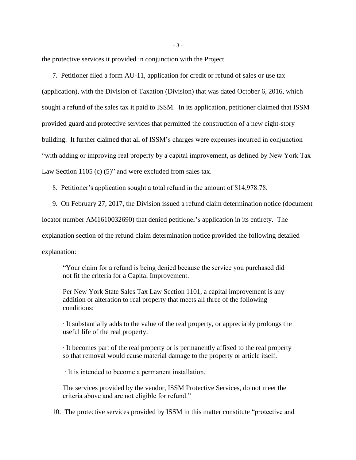the protective services it provided in conjunction with the Project.

7. Petitioner filed a form AU-11, application for credit or refund of sales or use tax (application), with the Division of Taxation (Division) that was dated October 6, 2016, which sought a refund of the sales tax it paid to ISSM. In its application, petitioner claimed that ISSM provided guard and protective services that permitted the construction of a new eight-story building. It further claimed that all of ISSM's charges were expenses incurred in conjunction "with adding or improving real property by a capital improvement, as defined by New York Tax Law Section 1105 (c) (5)" and were excluded from sales tax.

8. Petitioner's application sought a total refund in the amount of \$14,978.78.

9. On February 27, 2017, the Division issued a refund claim determination notice (document locator number AM1610032690) that denied petitioner's application in its entirety. The explanation section of the refund claim determination notice provided the following detailed explanation:

"Your claim for a refund is being denied because the service you purchased did not fit the criteria for a Capital Improvement.

Per New York State Sales Tax Law Section 1101, a capital improvement is any addition or alteration to real property that meets all three of the following conditions:

∙ It substantially adds to the value of the real property, or appreciably prolongs the useful life of the real property.

∙ It becomes part of the real property or is permanently affixed to the real property so that removal would cause material damage to the property or article itself.

∙ It is intended to become a permanent installation.

The services provided by the vendor, ISSM Protective Services, do not meet the criteria above and are not eligible for refund."

10. The protective services provided by ISSM in this matter constitute "protective and

- 3 -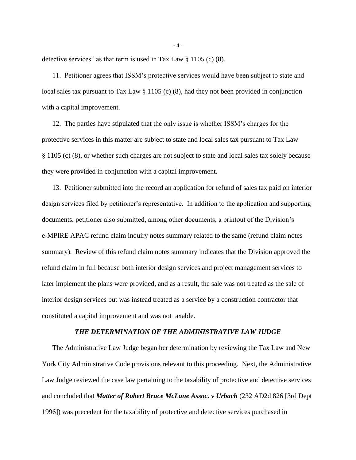detective services" as that term is used in Tax Law § 1105 (c) (8).

11. Petitioner agrees that ISSM's protective services would have been subject to state and local sales tax pursuant to Tax Law § 1105 (c) (8), had they not been provided in conjunction with a capital improvement.

12. The parties have stipulated that the only issue is whether ISSM's charges for the protective services in this matter are subject to state and local sales tax pursuant to Tax Law § 1105 (c) (8), or whether such charges are not subject to state and local sales tax solely because they were provided in conjunction with a capital improvement.

13. Petitioner submitted into the record an application for refund of sales tax paid on interior design services filed by petitioner's representative. In addition to the application and supporting documents, petitioner also submitted, among other documents, a printout of the Division's e-MPIRE APAC refund claim inquiry notes summary related to the same (refund claim notes summary). Review of this refund claim notes summary indicates that the Division approved the refund claim in full because both interior design services and project management services to later implement the plans were provided, and as a result, the sale was not treated as the sale of interior design services but was instead treated as a service by a construction contractor that constituted a capital improvement and was not taxable.

### *THE DETERMINATION OF THE ADMINISTRATIVE LAW JUDGE*

The Administrative Law Judge began her determination by reviewing the Tax Law and New York City Administrative Code provisions relevant to this proceeding. Next, the Administrative Law Judge reviewed the case law pertaining to the taxability of protective and detective services and concluded that *Matter of Robert Bruce McLane Assoc. v Urbach* (232 AD2d 826 [3rd Dept 1996]) was precedent for the taxability of protective and detective services purchased in

- 4 -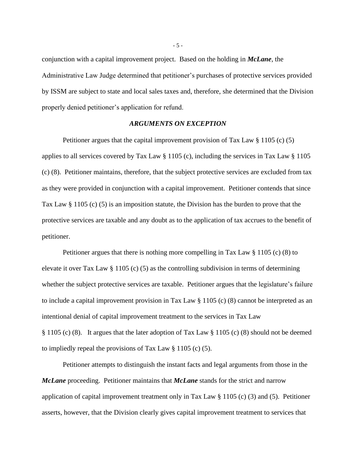conjunction with a capital improvement project. Based on the holding in *McLane*, the Administrative Law Judge determined that petitioner's purchases of protective services provided by ISSM are subject to state and local sales taxes and, therefore, she determined that the Division properly denied petitioner's application for refund.

#### *ARGUMENTS ON EXCEPTION*

Petitioner argues that the capital improvement provision of Tax Law § 1105 (c) (5) applies to all services covered by Tax Law § 1105 (c), including the services in Tax Law § 1105 (c) (8). Petitioner maintains, therefore, that the subject protective services are excluded from tax as they were provided in conjunction with a capital improvement. Petitioner contends that since Tax Law § 1105 (c) (5) is an imposition statute, the Division has the burden to prove that the protective services are taxable and any doubt as to the application of tax accrues to the benefit of petitioner.

Petitioner argues that there is nothing more compelling in Tax Law § 1105 (c) (8) to elevate it over Tax Law § 1105 (c) (5) as the controlling subdivision in terms of determining whether the subject protective services are taxable. Petitioner argues that the legislature's failure to include a capital improvement provision in Tax Law § 1105 (c) (8) cannot be interpreted as an intentional denial of capital improvement treatment to the services in Tax Law § 1105 (c) (8). It argues that the later adoption of Tax Law § 1105 (c) (8) should not be deemed to impliedly repeal the provisions of Tax Law § 1105 (c) (5).

Petitioner attempts to distinguish the instant facts and legal arguments from those in the *McLane* proceeding. Petitioner maintains that *McLane* stands for the strict and narrow application of capital improvement treatment only in Tax Law § 1105 (c) (3) and (5). Petitioner asserts, however, that the Division clearly gives capital improvement treatment to services that

- 5 -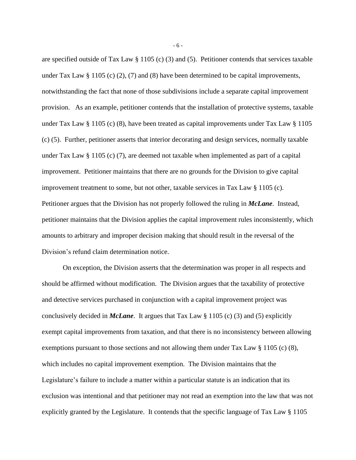are specified outside of Tax Law § 1105 (c) (3) and (5). Petitioner contends that services taxable under Tax Law § 1105 (c) (2), (7) and (8) have been determined to be capital improvements, notwithstanding the fact that none of those subdivisions include a separate capital improvement provision. As an example, petitioner contends that the installation of protective systems, taxable under Tax Law  $\S 1105$  (c) (8), have been treated as capital improvements under Tax Law  $\S 1105$ (c) (5). Further, petitioner asserts that interior decorating and design services, normally taxable under Tax Law § 1105 (c) (7), are deemed not taxable when implemented as part of a capital improvement. Petitioner maintains that there are no grounds for the Division to give capital improvement treatment to some, but not other, taxable services in Tax Law § 1105 (c). Petitioner argues that the Division has not properly followed the ruling in *McLane*. Instead, petitioner maintains that the Division applies the capital improvement rules inconsistently, which amounts to arbitrary and improper decision making that should result in the reversal of the Division's refund claim determination notice.

On exception, the Division asserts that the determination was proper in all respects and should be affirmed without modification. The Division argues that the taxability of protective and detective services purchased in conjunction with a capital improvement project was conclusively decided in *McLane*.It argues that Tax Law § 1105 (c) (3) and (5) explicitly exempt capital improvements from taxation, and that there is no inconsistency between allowing exemptions pursuant to those sections and not allowing them under Tax Law § 1105 (c) (8), which includes no capital improvement exemption. The Division maintains that the Legislature's failure to include a matter within a particular statute is an indication that its exclusion was intentional and that petitioner may not read an exemption into the law that was not explicitly granted by the Legislature. It contends that the specific language of Tax Law § 1105

- 6 -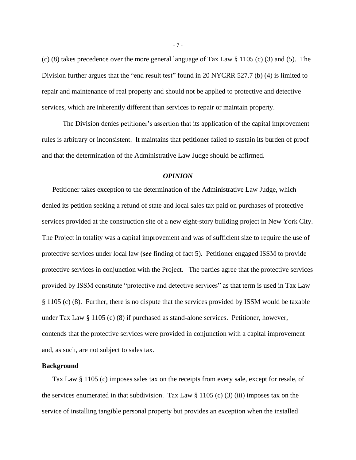(c) (8) takes precedence over the more general language of Tax Law § 1105 (c) (3) and (5). The Division further argues that the "end result test" found in 20 NYCRR 527.7 (b) (4) is limited to repair and maintenance of real property and should not be applied to protective and detective services, which are inherently different than services to repair or maintain property.

The Division denies petitioner's assertion that its application of the capital improvement rules is arbitrary or inconsistent. It maintains that petitioner failed to sustain its burden of proof and that the determination of the Administrative Law Judge should be affirmed.

#### *OPINION*

Petitioner takes exception to the determination of the Administrative Law Judge, which denied its petition seeking a refund of state and local sales tax paid on purchases of protective services provided at the construction site of a new eight-story building project in New York City. The Project in totality was a capital improvement and was of sufficient size to require the use of protective services under local law (*see* finding of fact 5). Petitioner engaged ISSM to provide protective services in conjunction with the Project. The parties agree that the protective services provided by ISSM constitute "protective and detective services" as that term is used in Tax Law § 1105 (c) (8). Further, there is no dispute that the services provided by ISSM would be taxable under Tax Law § 1105 (c) (8) if purchased as stand-alone services. Petitioner, however, contends that the protective services were provided in conjunction with a capital improvement and, as such, are not subject to sales tax.

#### **Background**

Tax Law § 1105 (c) imposes sales tax on the receipts from every sale, except for resale, of the services enumerated in that subdivision. Tax Law  $\S 1105$  (c) (3) (iii) imposes tax on the service of installing tangible personal property but provides an exception when the installed

- 7 -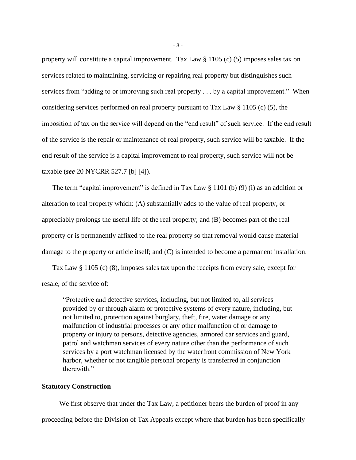property will constitute a capital improvement. Tax Law § 1105 (c) (5) imposes sales tax on services related to maintaining, servicing or repairing real property but distinguishes such services from "adding to or improving such real property . . . by a capital improvement." When considering services performed on real property pursuant to Tax Law § 1105 (c) (5), the imposition of tax on the service will depend on the "end result" of such service. If the end result of the service is the repair or maintenance of real property, such service will be taxable. If the end result of the service is a capital improvement to real property, such service will not be taxable (*see* 20 NYCRR 527.7 [b] [4]).

The term "capital improvement" is defined in Tax Law  $\S$  1101 (b) (9) (i) as an addition or alteration to real property which: (A) substantially adds to the value of real property, or appreciably prolongs the useful life of the real property; and (B) becomes part of the real property or is permanently affixed to the real property so that removal would cause material damage to the property or article itself; and (C) is intended to become a permanent installation.

Tax Law § 1105 (c) (8), imposes sales tax upon the receipts from every sale, except for resale, of the service of:

"Protective and detective services, including, but not limited to, all services provided by or through alarm or protective systems of every nature, including, but not limited to, protection against burglary, theft, fire, water damage or any malfunction of industrial processes or any other malfunction of or damage to property or injury to persons, detective agencies, armored car services and guard, patrol and watchman services of every nature other than the performance of such services by a port watchman licensed by the waterfront commission of New York harbor, whether or not tangible personal property is transferred in conjunction therewith."

# **Statutory Construction**

We first observe that under the Tax Law, a petitioner bears the burden of proof in any proceeding before the Division of Tax Appeals except where that burden has been specifically

- 8 -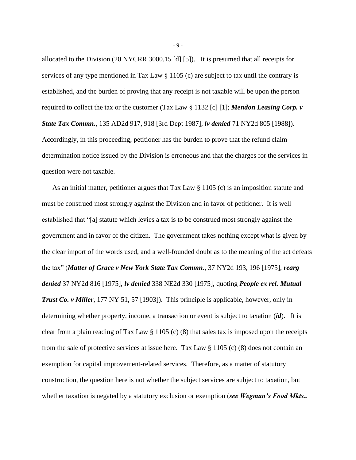allocated to the Division (20 NYCRR 3000.15 [d] [5]). It is presumed that all receipts for services of any type mentioned in Tax Law § 1105 (c) are subject to tax until the contrary is established, and the burden of proving that any receipt is not taxable will be upon the person required to collect the tax or the customer (Tax Law § 1132 [c] [1]; *Mendon Leasing Corp. v State Tax Commn.*, 135 AD2d 917, 918 [3rd Dept 1987], *lv denied* 71 NY2d 805 [1988]). Accordingly, in this proceeding, petitioner has the burden to prove that the refund claim determination notice issued by the Division is erroneous and that the charges for the services in question were not taxable.

As an initial matter, petitioner argues that Tax Law § 1105 (c) is an imposition statute and must be construed most strongly against the Division and in favor of petitioner. It is well established that "[a] statute which levies a tax is to be construed most strongly against the government and in favor of the citizen. The government takes nothing except what is given by the clear import of the words used, and a well-founded doubt as to the meaning of the act defeats the tax" (*Matter of Grace v New York State Tax Commn.*, 37 NY2d 193, 196 [1975], *rearg denied* 37 NY2d 816 [1975], *lv denied* 338 NE2d 330 [1975], quoting *People ex rel. Mutual Trust Co. v Miller*, 177 NY 51, 57 [1903]). This principle is applicable, however, only in determining whether property, income, a transaction or event is subject to taxation (*id*). It is clear from a plain reading of Tax Law § 1105 (c) (8) that sales tax is imposed upon the receipts from the sale of protective services at issue here. Tax Law  $\S 1105$  (c) (8) does not contain an exemption for capital improvement-related services. Therefore, as a matter of statutory construction, the question here is not whether the subject services are subject to taxation, but whether taxation is negated by a statutory exclusion or exemption (*see Wegman's Food Mkts.*,

- 9 -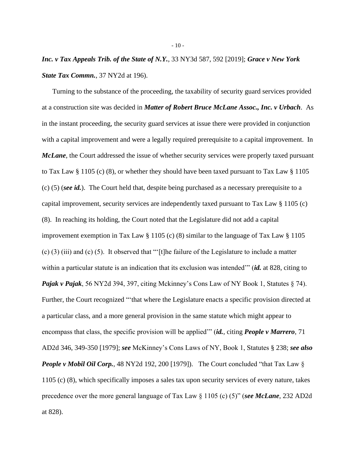# *Inc. v Tax Appeals Trib. of the State of N.Y.*, 33 NY3d 587, 592 [2019]; *Grace v New York State Tax Commn.*, 37 NY2d at 196).

Turning to the substance of the proceeding, the taxability of security guard services provided at a construction site was decided in *Matter of Robert Bruce McLane Assoc., Inc. v Urbach*. As in the instant proceeding, the security guard services at issue there were provided in conjunction with a capital improvement and were a legally required prerequisite to a capital improvement. In *McLane*, the Court addressed the issue of whether security services were properly taxed pursuant to Tax Law § 1105 (c) (8), or whether they should have been taxed pursuant to Tax Law § 1105 (c) (5) (*see id.*). The Court held that, despite being purchased as a necessary prerequisite to a capital improvement, security services are independently taxed pursuant to Tax Law § 1105 (c) (8). In reaching its holding, the Court noted that the Legislature did not add a capital improvement exemption in Tax Law § 1105 (c) (8) similar to the language of Tax Law § 1105 (c) (3) (iii) and (c) (5). It observed that "'[t]he failure of the Legislature to include a matter within a particular statute is an indication that its exclusion was intended'" (*id.* at 828, citing to *Pajak v Pajak*, 56 NY2d 394, 397, citing Mckinney's Cons Law of NY Book 1, Statutes § 74). Further, the Court recognized "'that where the Legislature enacts a specific provision directed at a particular class, and a more general provision in the same statute which might appear to encompass that class, the specific provision will be applied'" (*id.*, citing *People v Marrero*, 71 AD2d 346, 349-350 [1979]; *see* McKinney's Cons Laws of NY, Book 1, Statutes § 238; *see also People v Mobil Oil Corp.*, 48 NY2d 192, 200 [1979]). The Court concluded "that Tax Law § 1105 (c) (8), which specifically imposes a sales tax upon security services of every nature, takes precedence over the more general language of Tax Law § 1105 (c) (5)" (*see McLane*, 232 AD2d at 828).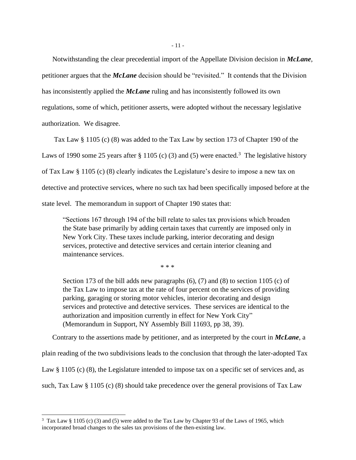Notwithstanding the clear precedential import of the Appellate Division decision in *McLane*, petitioner argues that the *McLane* decision should be "revisited." It contends that the Division has inconsistently applied the *McLane* ruling and has inconsistently followed its own regulations, some of which, petitioner asserts, were adopted without the necessary legislative authorization. We disagree.

Tax Law § 1105 (c) (8) was added to the Tax Law by section 173 of Chapter 190 of the Laws of 1990 some 25 years after § 1105 (c) (3) and (5) were enacted.<sup>3</sup> The legislative history of Tax Law § 1105 (c) (8) clearly indicates the Legislature's desire to impose a new tax on detective and protective services, where no such tax had been specifically imposed before at the state level. The memorandum in support of Chapter 190 states that:

"Sections 167 through 194 of the bill relate to sales tax provisions which broaden the State base primarily by adding certain taxes that currently are imposed only in New York City. These taxes include parking, interior decorating and design services, protective and detective services and certain interior cleaning and maintenance services.

\* \* \*

Section 173 of the bill adds new paragraphs (6), (7) and (8) to section 1105 (c) of the Tax Law to impose tax at the rate of four percent on the services of providing parking, garaging or storing motor vehicles, interior decorating and design services and protective and detective services. These services are identical to the authorization and imposition currently in effect for New York City" (Memorandum in Support, NY Assembly Bill 11693, pp 38, 39).

Contrary to the assertions made by petitioner, and as interpreted by the court in *McLane*, a

plain reading of the two subdivisions leads to the conclusion that through the later-adopted Tax

Law § 1105 (c) (8), the Legislature intended to impose tax on a specific set of services and, as

such, Tax Law § 1105 (c) (8) should take precedence over the general provisions of Tax Law

<sup>3</sup> Tax Law § 1105 (c) (3) and (5) were added to the Tax Law by Chapter 93 of the Laws of 1965, which incorporated broad changes to the sales tax provisions of the then-existing law.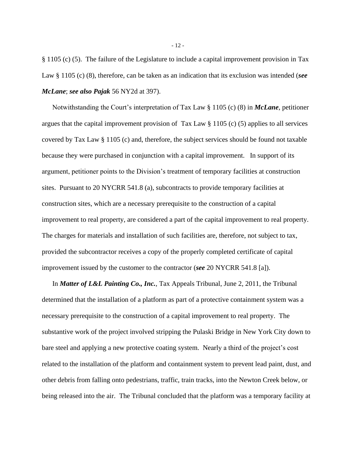§ 1105 (c) (5). The failure of the Legislature to include a capital improvement provision in Tax Law § 1105 (c) (8), therefore, can be taken as an indication that its exclusion was intended (*see McLane*; *see also Pajak* 56 NY2d at 397).

Notwithstanding the Court's interpretation of Tax Law § 1105 (c) (8) in *McLane*, petitioner argues that the capital improvement provision of Tax Law  $\S 1105$  (c) (5) applies to all services covered by Tax Law § 1105 (c) and, therefore, the subject services should be found not taxable because they were purchased in conjunction with a capital improvement. In support of its argument, petitioner points to the Division's treatment of temporary facilities at construction sites. Pursuant to 20 NYCRR 541.8 (a), subcontracts to provide temporary facilities at construction sites, which are a necessary prerequisite to the construction of a capital improvement to real property, are considered a part of the capital improvement to real property. The charges for materials and installation of such facilities are, therefore, not subject to tax, provided the subcontractor receives a copy of the properly completed certificate of capital improvement issued by the customer to the contractor (*see* 20 NYCRR 541.8 [a]).

In *Matter of L&L Painting Co., Inc.*, Tax Appeals Tribunal, June 2, 2011, the Tribunal determined that the installation of a platform as part of a protective containment system was a necessary prerequisite to the construction of a capital improvement to real property. The substantive work of the project involved stripping the Pulaski Bridge in New York City down to bare steel and applying a new protective coating system. Nearly a third of the project's cost related to the installation of the platform and containment system to prevent lead paint, dust, and other debris from falling onto pedestrians, traffic, train tracks, into the Newton Creek below, or being released into the air. The Tribunal concluded that the platform was a temporary facility at

- 12 -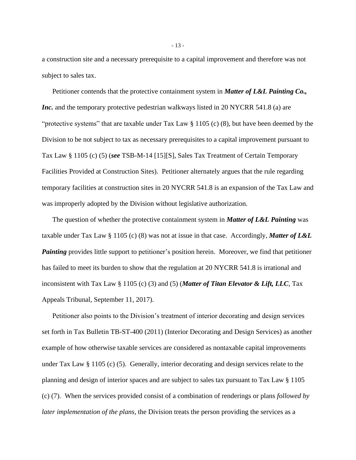a construction site and a necessary prerequisite to a capital improvement and therefore was not subject to sales tax.

Petitioner contends that the protective containment system in *Matter of L&L Painting Co., Inc.* and the temporary protective pedestrian walkways listed in 20 NYCRR 541.8 (a) are "protective systems" that are taxable under Tax Law  $\S$  1105 (c) (8), but have been deemed by the Division to be not subject to tax as necessary prerequisites to a capital improvement pursuant to Tax Law § 1105 (c) (5) (*see* TSB-M-14 [15][S], Sales Tax Treatment of Certain Temporary Facilities Provided at Construction Sites). Petitioner alternately argues that the rule regarding temporary facilities at construction sites in 20 NYCRR 541.8 is an expansion of the Tax Law and was improperly adopted by the Division without legislative authorization.

The question of whether the protective containment system in *Matter of L&L Painting* was taxable under Tax Law § 1105 (c) (8) was not at issue in that case. Accordingly, *Matter of L&L Painting* provides little support to petitioner's position herein. Moreover, we find that petitioner has failed to meet its burden to show that the regulation at 20 NYCRR 541.8 is irrational and inconsistent with Tax Law § 1105 (c) (3) and (5) (*Matter of Titan Elevator & Lift, LLC*, Tax Appeals Tribunal, September 11, 2017).

Petitioner also points to the Division's treatment of interior decorating and design services set forth in Tax Bulletin TB-ST-400 (2011) (Interior Decorating and Design Services) as another example of how otherwise taxable services are considered as nontaxable capital improvements under Tax Law § 1105 (c) (5). Generally, interior decorating and design services relate to the planning and design of interior spaces and are subject to sales tax pursuant to Tax Law § 1105 (c) (7). When the services provided consist of a combination of renderings or plans *followed by later implementation of the plans*, the Division treats the person providing the services as a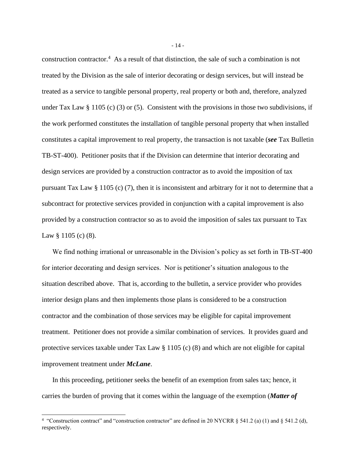construction contractor.<sup>4</sup> As a result of that distinction, the sale of such a combination is not treated by the Division as the sale of interior decorating or design services, but will instead be treated as a service to tangible personal property, real property or both and, therefore, analyzed under Tax Law § 1105 (c) (3) or (5). Consistent with the provisions in those two subdivisions, if the work performed constitutes the installation of tangible personal property that when installed constitutes a capital improvement to real property, the transaction is not taxable (*see* Tax Bulletin TB-ST-400). Petitioner posits that if the Division can determine that interior decorating and design services are provided by a construction contractor as to avoid the imposition of tax pursuant Tax Law § 1105 (c) (7), then it is inconsistent and arbitrary for it not to determine that a subcontract for protective services provided in conjunction with a capital improvement is also provided by a construction contractor so as to avoid the imposition of sales tax pursuant to Tax Law  $\S 1105$  (c) (8).

We find nothing irrational or unreasonable in the Division's policy as set forth in TB-ST-400 for interior decorating and design services. Nor is petitioner's situation analogous to the situation described above. That is, according to the bulletin, a service provider who provides interior design plans and then implements those plans is considered to be a construction contractor and the combination of those services may be eligible for capital improvement treatment. Petitioner does not provide a similar combination of services. It provides guard and protective services taxable under Tax Law § 1105 (c) (8) and which are not eligible for capital improvement treatment under *McLane*.

In this proceeding, petitioner seeks the benefit of an exemption from sales tax; hence, it carries the burden of proving that it comes within the language of the exemption (*Matter of* 

- 14 -

<sup>&</sup>lt;sup>4</sup> "Construction contract" and "construction contractor" are defined in 20 NYCRR  $\S$  541.2 (a) (1) and  $\S$  541.2 (d), respectively.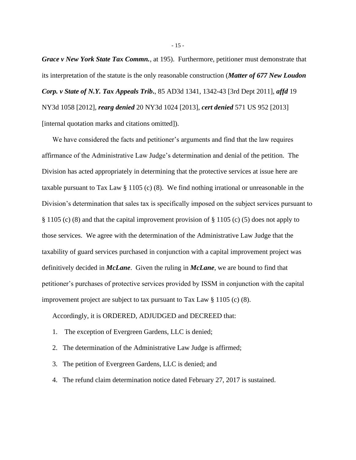*Grace v New York State Tax Commn.*, at 195). Furthermore, petitioner must demonstrate that its interpretation of the statute is the only reasonable construction (*Matter of 677 New Loudon Corp. v State of N.Y. Tax Appeals Trib***.**, 85 AD3d 1341, 1342-43 [3rd Dept 2011], *affd* 19 NY3d 1058 [2012], *rearg denied* 20 NY3d 1024 [2013], *cert denied* 571 US 952 [2013] [internal quotation marks and citations omitted]).

We have considered the facts and petitioner's arguments and find that the law requires affirmance of the Administrative Law Judge's determination and denial of the petition. The Division has acted appropriately in determining that the protective services at issue here are taxable pursuant to Tax Law § 1105 (c) (8). We find nothing irrational or unreasonable in the Division's determination that sales tax is specifically imposed on the subject services pursuant to § 1105 (c) (8) and that the capital improvement provision of § 1105 (c) (5) does not apply to those services. We agree with the determination of the Administrative Law Judge that the taxability of guard services purchased in conjunction with a capital improvement project was definitively decided in *McLane*. Given the ruling in *McLane*, we are bound to find that petitioner's purchases of protective services provided by ISSM in conjunction with the capital improvement project are subject to tax pursuant to Tax Law § 1105 (c) (8).

Accordingly, it is ORDERED, ADJUDGED and DECREED that:

- 1. The exception of Evergreen Gardens, LLC is denied;
- 2. The determination of the Administrative Law Judge is affirmed;
- 3. The petition of Evergreen Gardens, LLC is denied; and
- 4. The refund claim determination notice dated February 27, 2017 is sustained.